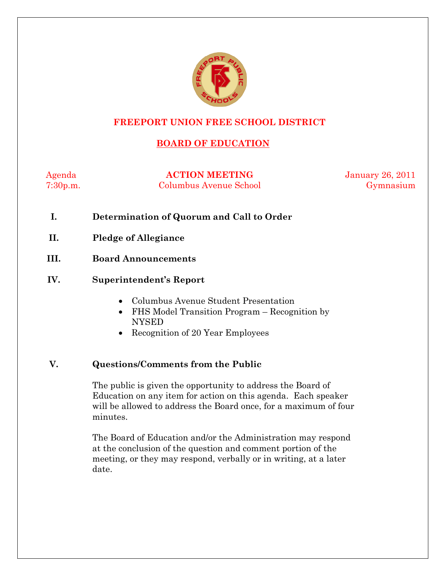

# **FREEPORT UNION FREE SCHOOL DISTRICT**

# **BOARD OF EDUCATION**

Agenda **ACTION MEETING** January 26, 2011 7:30p.m. Columbus Avenue School Gymnasium

- **I. Determination of Quorum and Call to Order**
- **II. Pledge of Allegiance**
- **III. Board Announcements**

#### **IV. Superintendent's Report**

- Columbus Avenue Student Presentation
- FHS Model Transition Program Recognition by NYSED
- Recognition of 20 Year Employees

### **V. Questions/Comments from the Public**

The public is given the opportunity to address the Board of Education on any item for action on this agenda. Each speaker will be allowed to address the Board once, for a maximum of four minutes.

The Board of Education and/or the Administration may respond at the conclusion of the question and comment portion of the meeting, or they may respond, verbally or in writing, at a later date.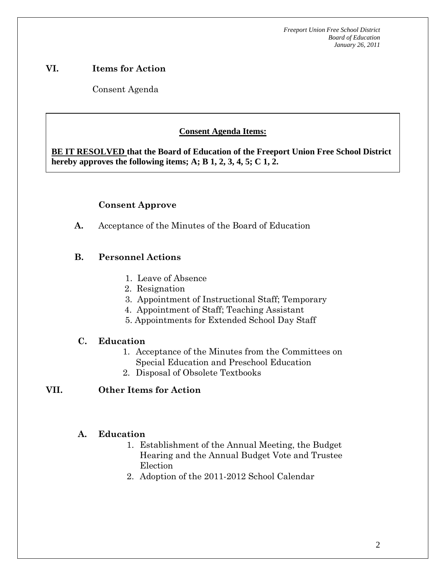# **VI. Items for Action**

Consent Agenda

 **AA. Consent - Approve** 

# **Consent Agenda Items:**

 *Acceptance of the Minutes*  $\mathbf{A}$ **BE IT RESOLVED that the Board of Education of the Freeport Union Free School District hereby approves the following items; A; B 1, 2, 3, 4, 5; C 1, 2.** 

# **Consent Approve**

**A.** Acceptance of the Minutes of the Board of Education

# **B. Personnel Actions**

- 1. Leave of Absence
- 2. Resignation
- 3. Appointment of Instructional Staff; Temporary
- 4. Appointment of Staff; Teaching Assistant
- 5. Appointments for Extended School Day Staff

### **C. Education**

- 1. Acceptance of the Minutes from the Committees on Special Education and Preschool Education
- 2. Disposal of Obsolete Textbooks

### **VII. Other Items for Action**

### **A. Education**

- 1. Establishment of the Annual Meeting, the Budget Hearing and the Annual Budget Vote and Trustee Election
- 2. Adoption of the 2011-2012 School Calendar